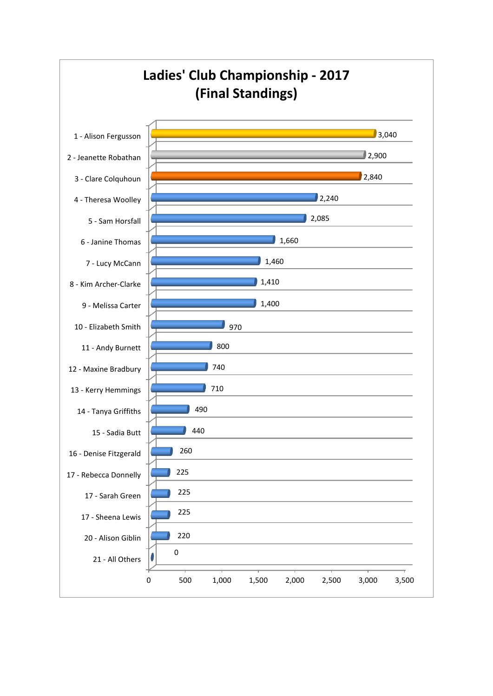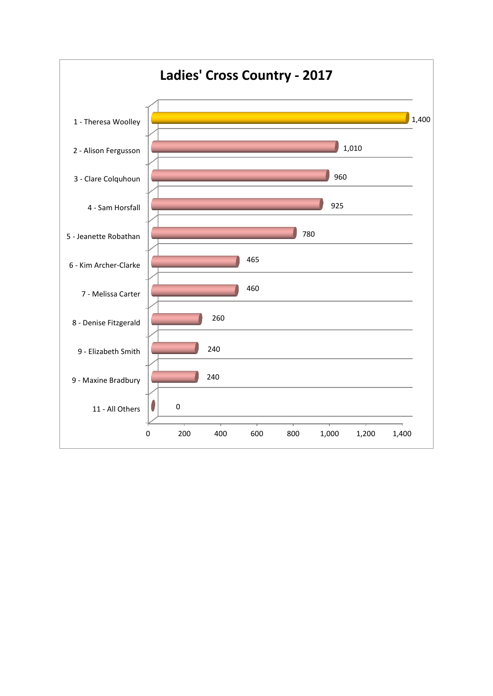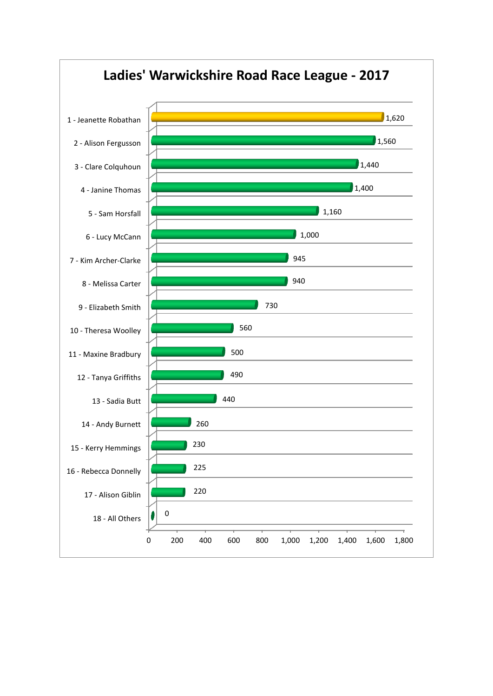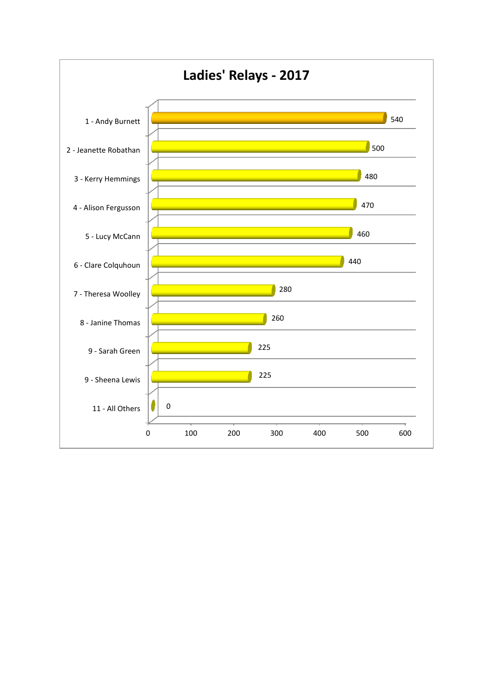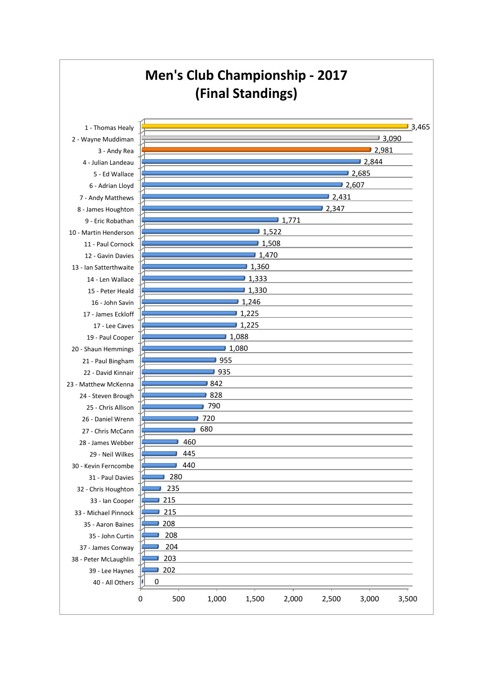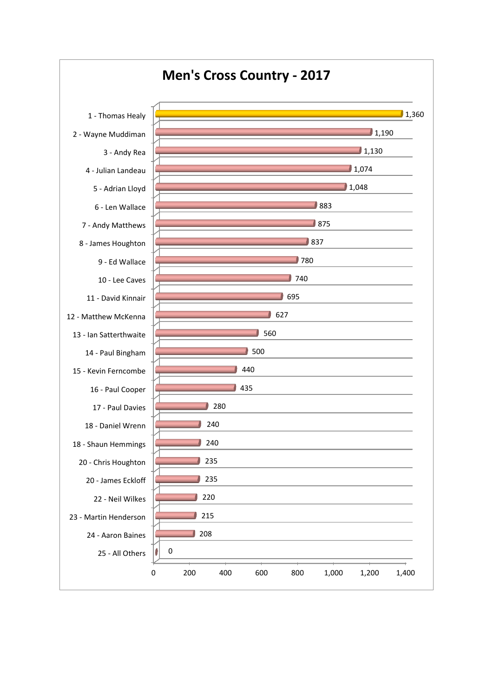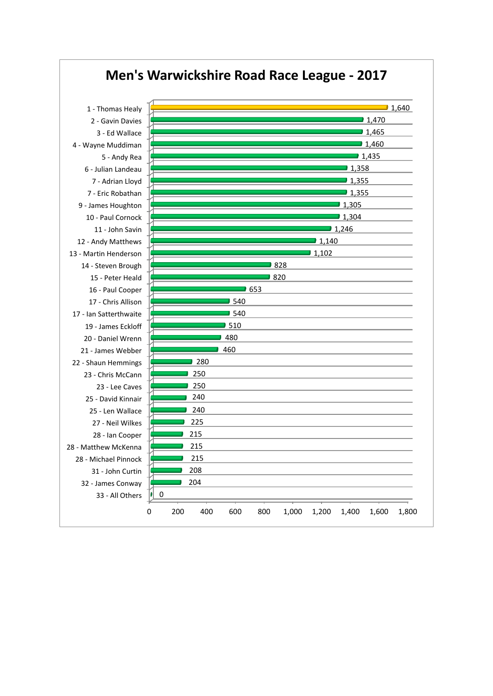